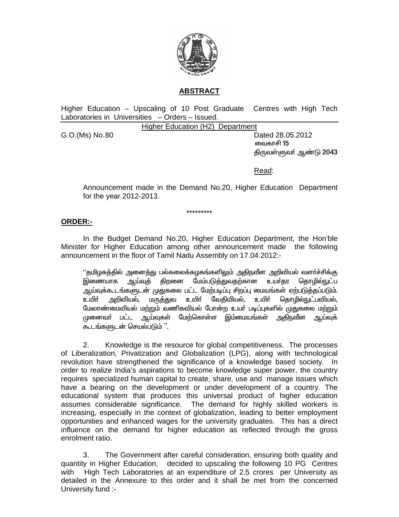

## **ABSTRACT**

Higher Education - Upscaling of 10 Post Graduate Centres with High Tech Laboratories in Universities - Orders - Issued.

**Higher Education (H2) Department** 

G.O.(Ms) No.80

Dated 28,05,2012 வைகாசி 15 திருவள்ளுவா் ஆண்டு 2043

Read:

Announcement made in the Demand No.20, Higher Education Department for the year 2012-2013.

\*\*\*\*\*\*\*\*\*

#### **ORDER:-**

In the Budget Demand No.20, Higher Education Department, the Hon'ble Minister for Higher Education among other announcement made the following announcement in the floor of Tamil Nadu Assembly on 17.04.2012:-

''தமிழகத்தில் அனைத்து பல்கலைக்கழகங்களிலும் அதிநவீன அறிவியல் வளா்ச்சிக்கு இணையாக ஆய்வுத் திறனை மேம்படுத்துவதற்கான உயர்தர தொழில்நுட்ப ஆய்வுக்கூடங்களுடன் முதுகலை பட்ட மேற்படிப்பு சிறப்பு மையங்கள் ஏற்படுத்தப்படும். அறிவியல், மருத்துவ உயிர் வேதியியல், உயிர் தொழில<u>்ந</u>ுட்பவியல். <u>உயிர்</u> மேலாண்மையியல் மற்றும் வணிகவியல் போன்ற உயர் படிப்புகளில் முதுகலை மற்றும் முனைவர் பட்ட ஆய்வுகள் மேற்கொள்ள இம்மையங்கள் அகிநவீன ஆய்வுக் கூடங்களுடன் செயல்படும் ''.

 $2<sub>1</sub>$ Knowledge is the resource for global competitiveness. The processes of Liberalization, Privatization and Globalization (LPG), along with technological revolution have strengthened the significance of a knowledge based society. In order to realize India's aspirations to become knowledge super power, the country requires specialized human capital to create, share, use and manage issues which have a bearing on the development or under development of a country. The educational system that produces this universal product of higher education assumes considerable significance. The demand for highly skilled workers is increasing, especially in the context of globalization, leading to better employment opportunities and enhanced wages for the university graduates. This has a direct influence on the demand for higher education as reflected through the gross enrolment ratio.

 $3<sub>1</sub>$ The Government after careful consideration, ensuring both quality and quantity in Higher Education, decided to upscaling the following 10 PG Centres with High Tech Laboratories at an expenditure of 2.5 crores per University as detailed in the Annexure to this order and it shall be met from the concerned University fund :-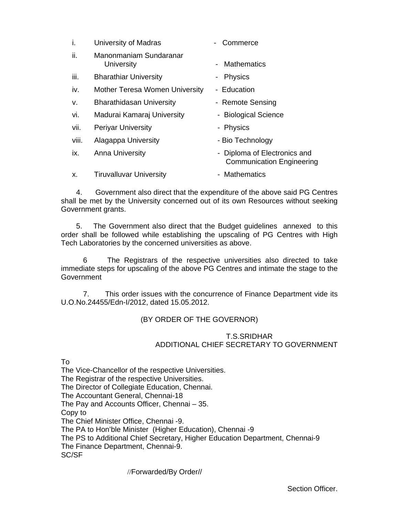| j.    | University of Madras                  | - Commerce                                                       |
|-------|---------------------------------------|------------------------------------------------------------------|
| ii.   | Manonmaniam Sundaranar<br>University  | <b>Mathematics</b><br>$\sim$ 10 $\pm$                            |
| iii.  | <b>Bharathiar University</b>          | <b>Physics</b><br>$\blacksquare$                                 |
| iv.   | <b>Mother Teresa Women University</b> | - Education                                                      |
| v.    | <b>Bharathidasan University</b>       | - Remote Sensing                                                 |
| vi.   | Madurai Kamaraj University            | - Biological Science                                             |
| vii.  | <b>Periyar University</b>             | - Physics                                                        |
| viii. | Alagappa University                   | - Bio Technology                                                 |
| ix.   | <b>Anna University</b>                | - Diploma of Electronics and<br><b>Communication Engineering</b> |
| Χ.    | <b>Tiruvalluvar University</b>        | - Mathematics                                                    |

 4. Government also direct that the expenditure of the above said PG Centres shall be met by the University concerned out of its own Resources without seeking Government grants.

 5. The Government also direct that the Budget guidelines annexed to this order shall be followed while establishing the upscaling of PG Centres with High Tech Laboratories by the concerned universities as above.

6 The Registrars of the respective universities also directed to take immediate steps for upscaling of the above PG Centres and intimate the stage to the **Government** 

7. This order issues with the concurrence of Finance Department vide its U.O.No.24455/Edn-I/2012, dated 15.05.2012.

#### (BY ORDER OF THE GOVERNOR)

#### T.S.SRIDHAR ADDITIONAL CHIEF SECRETARY TO GOVERNMENT

To

The Vice-Chancellor of the respective Universities. The Registrar of the respective Universities. The Director of Collegiate Education, Chennai. The Accountant General, Chennai-18 The Pay and Accounts Officer, Chennai – 35. Copy to The Chief Minister Office, Chennai -9. The PA to Hon'ble Minister (Higher Education), Chennai -9 The PS to Additional Chief Secretary, Higher Education Department, Chennai-9 The Finance Department, Chennai-9. SC/SF

//Forwarded/By Order//